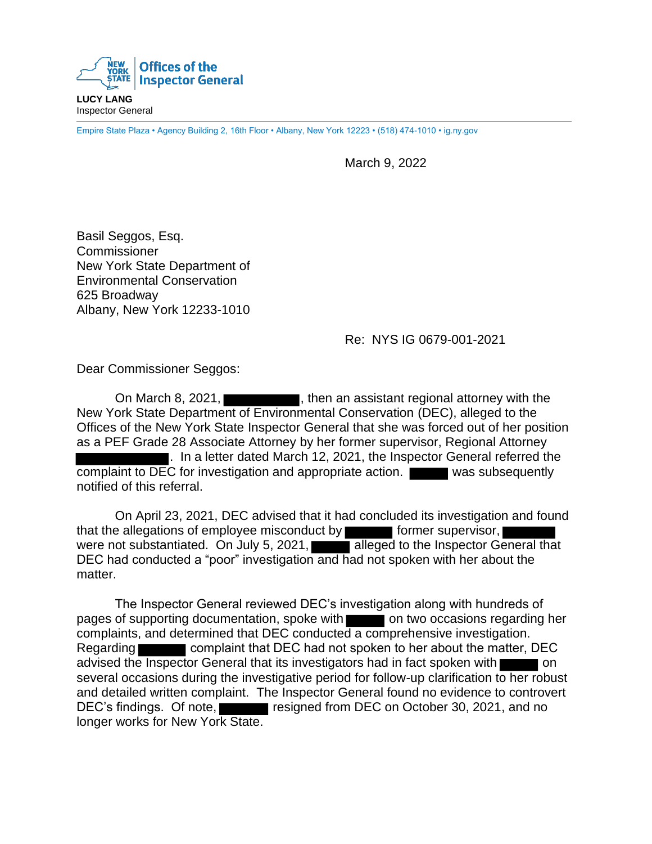

**LUCY LANG** Inspector General

Empire State Plaza • Agency Building 2, 16th Floor • Albany, New York 12223 • (518) 474-1010 • ig.ny.gov

March 9, 2022

Basil Seggos, Esg. Commissioner New York State Department of Environmental Conservation 625 Broadway Albany, New York 12233-1010

Re: NYS IG 0679-001-2021

Dear Commissioner Seggos:

On March 8, 2021,  $\Box$ , then an assistant regional attorney with the New York State Department of Environmental Conservation (DEC), alleged to the Offices of the New York State Inspector General that she was forced out of her position as a PEF Grade 28 Associate Attorney by her former supervisor, Regional Attorney . In a letter dated March 12, 2021, the Inspector General referred the complaint to DEC for investigation and appropriate action. was subsequently notified of this referral.

On April 23, 2021, DEC advised that it had concluded its investigation and found that the allegations of employee misconduct by  $\blacksquare$  former supervisor, were not substantiated. On July 5, 2021, alleged to the Inspector General that DEC had conducted a "poor" investigation and had not spoken with her about the matter.

The Inspector General reviewed DEC's investigation along with hundreds of pages of supporting documentation, spoke with on two occasions regarding her complaints, and determined that DEC conducted a comprehensive investigation. Regarding **complaint that DEC had not spoken to her about the matter, DEC** advised the Inspector General that its investigators had in fact spoken with several occasions during the investigative period for follow-up clarification to her robust and detailed written complaint. The Inspector General found no evidence to controvert DEC's findings. Of note, resigned from DEC on October 30, 2021, and no longer works for New York State.